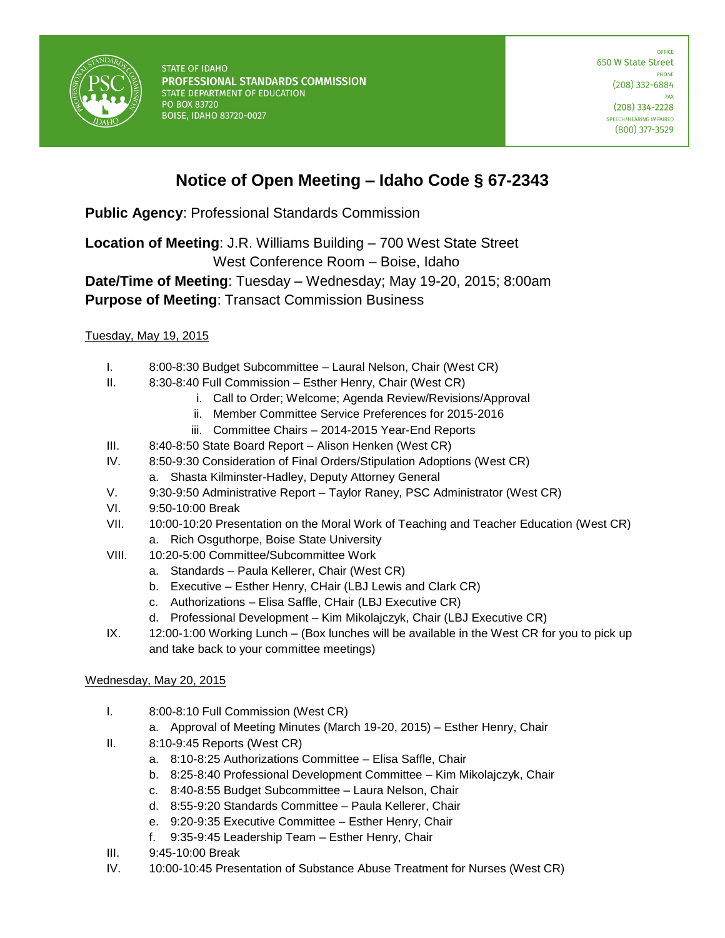

**STATE OF IDAHO** PROFESSIONAL STANDARDS COMMISSION STATE DEPARTMENT OF EDUCATION PO BOX 83720 **BOISE, IDAHO 83720-0027** 

OFFICE 650 W State Street **DHONE**  $(208)$  332-6884 FAX  $(208)$  334-2228

SPEECH/HEARING IMPAIRED  $(800)$  377-3529

## **Notice of Open Meeting – Idaho Code § 67-2343**

**Public Agency**: Professional Standards Commission

**Location of Meeting**: J.R. Williams Building – 700 West State Street

West Conference Room – Boise, Idaho

**Date/Time of Meeting**: Tuesday – Wednesday; May 19-20, 2015; 8:00am **Purpose of Meeting**: Transact Commission Business

## Tuesday, May 19, 2015

- I. 8:00-8:30 Budget Subcommittee Laural Nelson, Chair (West CR)
- II. 8:30-8:40 Full Commission Esther Henry, Chair (West CR)
	- i. Call to Order; Welcome; Agenda Review/Revisions/Approval
	- ii. Member Committee Service Preferences for 2015-2016
	- iii. Committee Chairs 2014-2015 Year-End Reports
- III. 8:40-8:50 State Board Report Alison Henken (West CR)
- IV. 8:50-9:30 Consideration of Final Orders/Stipulation Adoptions (West CR)
	- a. Shasta Kilminster-Hadley, Deputy Attorney General
- V. 9:30-9:50 Administrative Report Taylor Raney, PSC Administrator (West CR)
- VI. 9:50-10:00 Break
- VII. 10:00-10:20 Presentation on the Moral Work of Teaching and Teacher Education (West CR)
	- a. Rich Osguthorpe, Boise State University
- VIII. 10:20-5:00 Committee/Subcommittee Work
	- a. Standards Paula Kellerer, Chair (West CR)
	- b. Executive Esther Henry, CHair (LBJ Lewis and Clark CR)
	- c. Authorizations Elisa Saffle, CHair (LBJ Executive CR)
	- d. Professional Development Kim Mikolajczyk, Chair (LBJ Executive CR)
- IX. 12:00-1:00 Working Lunch (Box lunches will be available in the West CR for you to pick up and take back to your committee meetings)

## Wednesday, May 20, 2015

- I. 8:00-8:10 Full Commission (West CR)
	- a. Approval of Meeting Minutes (March 19-20, 2015) Esther Henry, Chair
- II. 8:10-9:45 Reports (West CR)
	- a. 8:10-8:25 Authorizations Committee Elisa Saffle, Chair
	- b. 8:25-8:40 Professional Development Committee Kim Mikolajczyk, Chair
	- c. 8:40-8:55 Budget Subcommittee Laura Nelson, Chair
	- d. 8:55-9:20 Standards Committee Paula Kellerer, Chair
	- e. 9:20-9:35 Executive Committee Esther Henry, Chair
	- f. 9:35-9:45 Leadership Team Esther Henry, Chair
- III. 9:45-10:00 Break
- IV. 10:00-10:45 Presentation of Substance Abuse Treatment for Nurses (West CR)